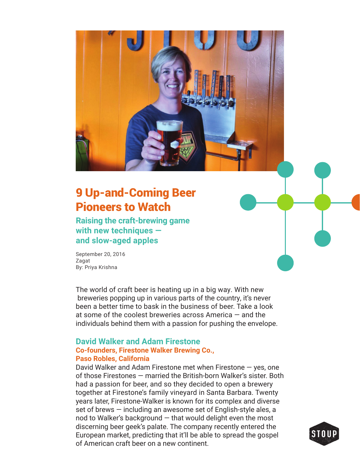# 9 Up-and-Coming Beer Pioneers to Watch

**Raising the craft-brewing game with new techniques and slow-aged apples**

September 20, 2016 Zagat By: Priya Krishna

The world of craft beer is heating up in a big way. With new breweries popping up in various parts of the country, it's never been a better time to bask in the business of beer. Take a look at some of the coolest breweries across America — and the individuals behind them with a passion for pushing the envelope.

### **David Walker and Adam Firestone Co-founders, Firestone Walker Brewing Co., Paso Robles, California**

David Walker and Adam Firestone met when Firestone — yes, one of those Firestones — married the British-born Walker's sister. Both had a passion for beer, and so they decided to open a brewery together at Firestone's family vineyard in Santa Barbara. Twenty years later, Firestone-Walker is known for its complex and diverse set of brews — including an awesome set of English-style ales, a nod to Walker's background  $-$  that would delight even the most discerning beer geek's palate. The company recently entered the European market, predicting that it'll be able to spread the gospel of American craft beer on a new continent.

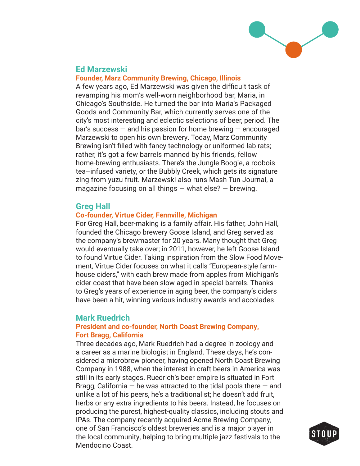

# **Ed Marzewski**

#### **Founder, Marz Community Brewing, Chicago, Illinois**

A few years ago, Ed Marzewski was given the difficult task of revamping his mom's well-worn neighborhood bar, Maria, in Chicago's Southside. He turned the bar into Maria's Packaged Goods and Community Bar, which currently serves one of the city's most interesting and eclectic selections of beer, period. The bar's success — and his passion for home brewing — encouraged Marzewski to open his own brewery. Today, Marz Community Brewing isn't filled with fancy technology or uniformed lab rats; rather, it's got a few barrels manned by his friends, fellow home-brewing enthusiasts. There's the Jungle Boogie, a roobois tea–infused variety, or the Bubbly Creek, which gets its signature zing from yuzu fruit. Marzewski also runs Mash Tun Journal, a magazine focusing on all things  $-$  what else?  $-$  brewing.

## **Greg Hall**

#### **Co-founder, Virtue Cider, Fennville, Michigan**

For Greg Hall, beer-making is a family affair. His father, John Hall, founded the Chicago brewery Goose Island, and Greg served as the company's brewmaster for 20 years. Many thought that Greg would eventually take over; in 2011, however, he left Goose Island to found Virtue Cider. Taking inspiration from the Slow Food Movement, Virtue Cider focuses on what it calls "European-style farmhouse ciders," with each brew made from apples from Michigan's cider coast that have been slow-aged in special barrels. Thanks to Greg's years of experience in aging beer, the company's ciders have been a hit, winning various industry awards and accolades.

### **Mark Ruedrich**

### **President and co-founder, North Coast Brewing Company, Fort Bragg, California**

Three decades ago, Mark Ruedrich had a degree in zoology and a career as a marine biologist in England. These days, he's considered a microbrew pioneer, having opened North Coast Brewing Company in 1988, when the interest in craft beers in America was still in its early stages. Ruedrich's beer empire is situated in Fort Bragg, California  $-$  he was attracted to the tidal pools there  $-$  and unlike a lot of his peers, he's a traditionalist; he doesn't add fruit, herbs or any extra ingredients to his beers. Instead, he focuses on producing the purest, highest-quality classics, including stouts and IPAs. The company recently acquired Acme Brewing Company, one of San Francisco's oldest breweries and is a major player in the local community, helping to bring multiple jazz festivals to the Mendocino Coast.

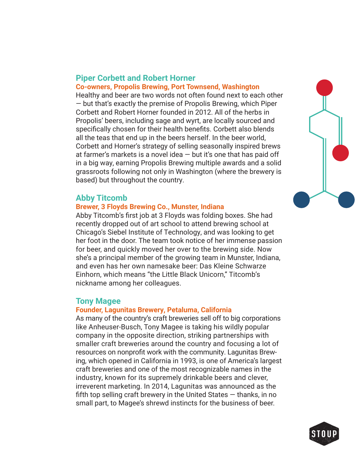# **Piper Corbett and Robert Horner Co-owners, Propolis Brewing, Port Townsend, Washington**

Healthy and beer are two words not often found next to each other — but that's exactly the premise of Propolis Brewing, which Piper Corbett and Robert Horner founded in 2012. All of the herbs in Propolis' beers, including sage and wyrt, are locally sourced and specifically chosen for their health benefits. Corbett also blends all the teas that end up in the beers herself. In the beer world, Corbett and Horner's strategy of selling seasonally inspired brews at farmer's markets is a novel idea  $-$  but it's one that has paid off in a big way, earning Propolis Brewing multiple awards and a solid grassroots following not only in Washington (where the brewery is based) but throughout the country.

## **Abby Titcomb**

## **Brewer, 3 Floyds Brewing Co., Munster, Indiana**

Abby Titcomb's first job at 3 Floyds was folding boxes. She had recently dropped out of art school to attend brewing school at Chicago's Siebel Institute of Technology, and was looking to get her foot in the door. The team took notice of her immense passion for beer, and quickly moved her over to the brewing side. Now she's a principal member of the growing team in Munster, Indiana, and even has her own namesake beer: Das Kleine Schwarze Einhorn, which means "the Little Black Unicorn," Titcomb's nickname among her colleagues.

# **Tony Magee**

### **Founder, Lagunitas Brewery, Petaluma, California**

As many of the country's craft breweries sell off to big corporations like Anheuser-Busch, Tony Magee is taking his wildly popular company in the opposite direction, striking partnerships with smaller craft breweries around the country and focusing a lot of resources on nonprofit work with the community. Lagunitas Brewing, which opened in California in 1993, is one of America's largest craft breweries and one of the most recognizable names in the industry, known for its supremely drinkable beers and clever, irreverent marketing. In 2014, Lagunitas was announced as the fifth top selling craft brewery in the United States  $-$  thanks, in no small part, to Magee's shrewd instincts for the business of beer.